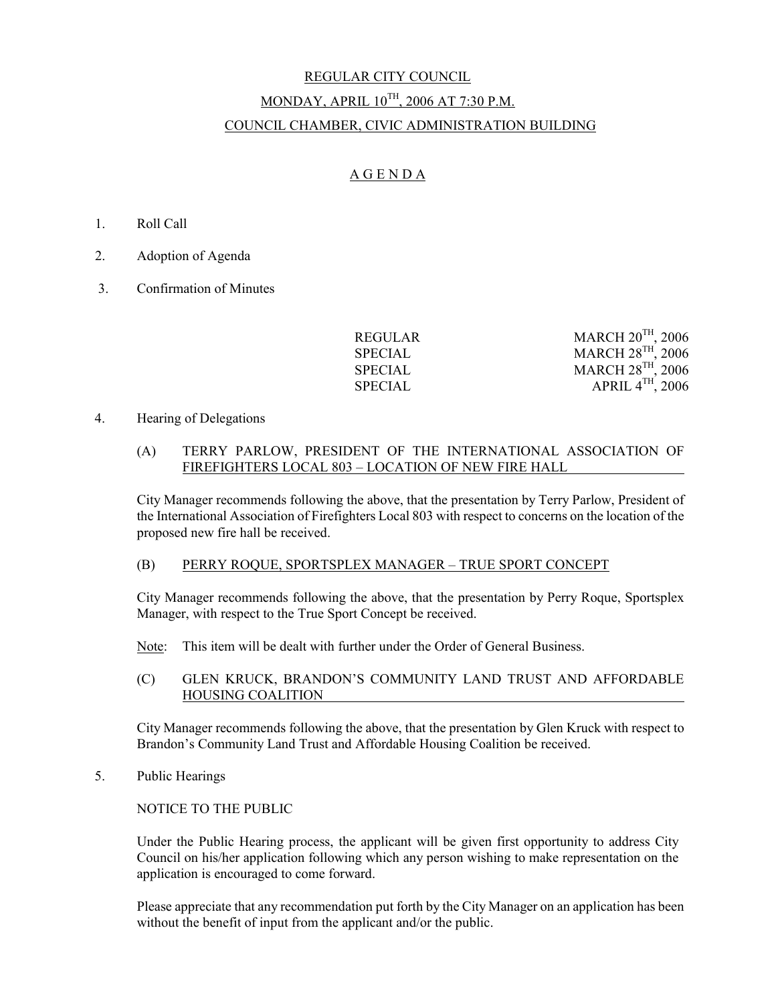# REGULAR CITY COUNCIL MONDAY, APRIL  $10^{TH}$ , 2006 AT 7:30 P.M. COUNCIL CHAMBER, CIVIC ADMINISTRATION BUILDING

# A G E N D A

- 1. Roll Call
- 2. Adoption of Agenda
- 3. Confirmation of Minutes

| <b>REGULAR</b> | MARCH $20^{TH}$ , 2006  |
|----------------|-------------------------|
| <b>SPECIAL</b> | <b>MARCH 28TH, 2006</b> |
| <b>SPECIAL</b> | <b>MARCH 28TH, 2006</b> |
| <b>SPECIAL</b> | APRIL $4^{TH}$ , 2006   |

#### 4. Hearing of Delegations

#### (A) TERRY PARLOW, PRESIDENT OF THE INTERNATIONAL ASSOCIATION OF FIREFIGHTERS LOCAL 803 – LOCATION OF NEW FIRE HALL

City Manager recommends following the above, that the presentation by Terry Parlow, President of the International Association of Firefighters Local 803 with respect to concerns on the location of the proposed new fire hall be received.

#### (B) PERRY ROQUE, SPORTSPLEX MANAGER – TRUE SPORT CONCEPT

City Manager recommends following the above, that the presentation by Perry Roque, Sportsplex Manager, with respect to the True Sport Concept be received.

Note: This item will be dealt with further under the Order of General Business.

#### (C) GLEN KRUCK, BRANDON'S COMMUNITY LAND TRUST AND AFFORDABLE HOUSING COALITION

 City Manager recommends following the above, that the presentation by Glen Kruck with respect to Brandon's Community Land Trust and Affordable Housing Coalition be received.

## 5. Public Hearings

#### NOTICE TO THE PUBLIC

Under the Public Hearing process, the applicant will be given first opportunity to address City Council on his/her application following which any person wishing to make representation on the application is encouraged to come forward.

Please appreciate that any recommendation put forth by the City Manager on an application has been without the benefit of input from the applicant and/or the public.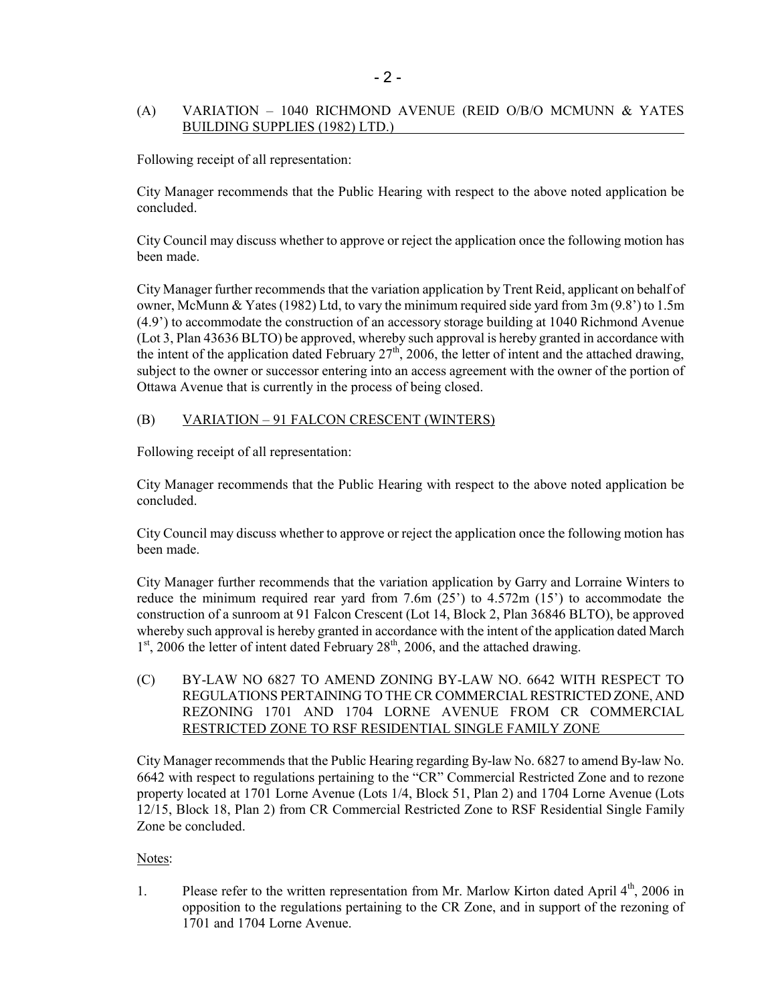#### (A) VARIATION – 1040 RICHMOND AVENUE (REID O/B/O MCMUNN & YATES BUILDING SUPPLIES (1982) LTD.)

Following receipt of all representation:

City Manager recommends that the Public Hearing with respect to the above noted application be concluded.

City Council may discuss whether to approve or reject the application once the following motion has been made.

City Manager further recommends that the variation application by Trent Reid, applicant on behalf of owner, McMunn & Yates (1982) Ltd, to vary the minimum required side yard from 3m (9.8') to 1.5m (4.9') to accommodate the construction of an accessory storage building at 1040 Richmond Avenue (Lot 3, Plan 43636 BLTO) be approved, whereby such approval is hereby granted in accordance with the intent of the application dated February  $27<sup>th</sup>$ , 2006, the letter of intent and the attached drawing, subject to the owner or successor entering into an access agreement with the owner of the portion of Ottawa Avenue that is currently in the process of being closed.

## (B) VARIATION – 91 FALCON CRESCENT (WINTERS)

Following receipt of all representation:

City Manager recommends that the Public Hearing with respect to the above noted application be concluded.

City Council may discuss whether to approve or reject the application once the following motion has been made.

City Manager further recommends that the variation application by Garry and Lorraine Winters to reduce the minimum required rear yard from 7.6m  $(25')$  to  $4.572m$   $(15')$  to accommodate the construction of a sunroom at 91 Falcon Crescent (Lot 14, Block 2, Plan 36846 BLTO), be approved whereby such approval is hereby granted in accordance with the intent of the application dated March 1<sup>st</sup>, 2006 the letter of intent dated February 28<sup>th</sup>, 2006, and the attached drawing.

(C) BY-LAW NO 6827 TO AMEND ZONING BY-LAW NO. 6642 WITH RESPECT TO REGULATIONS PERTAINING TO THE CR COMMERCIAL RESTRICTED ZONE, AND REZONING 1701 AND 1704 LORNE AVENUE FROM CR COMMERCIAL RESTRICTED ZONE TO RSF RESIDENTIAL SINGLE FAMILY ZONE

City Manager recommends that the Public Hearing regarding By-law No. 6827 to amend By-law No. 6642 with respect to regulations pertaining to the "CR" Commercial Restricted Zone and to rezone property located at 1701 Lorne Avenue (Lots 1/4, Block 51, Plan 2) and 1704 Lorne Avenue (Lots 12/15, Block 18, Plan 2) from CR Commercial Restricted Zone to RSF Residential Single Family Zone be concluded.

#### Notes:

1. Please refer to the written representation from Mr. Marlow Kirton dated April  $4<sup>th</sup>$ , 2006 in opposition to the regulations pertaining to the CR Zone, and in support of the rezoning of 1701 and 1704 Lorne Avenue.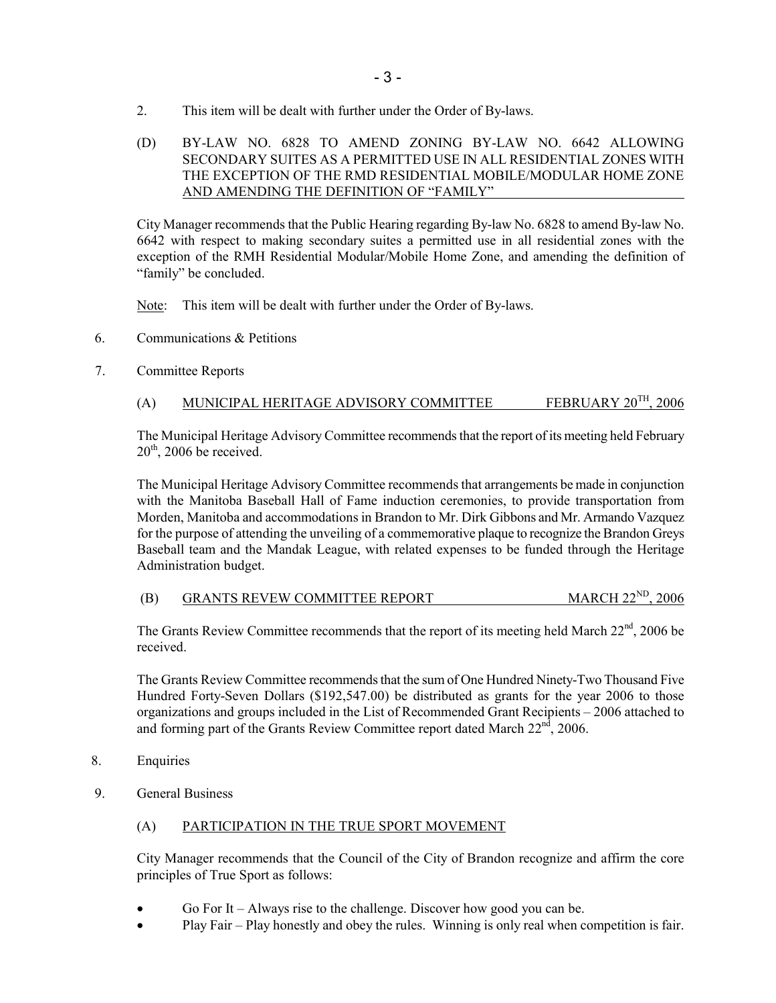- 3 -
- 2. This item will be dealt with further under the Order of By-laws.
- (D) BY-LAW NO. 6828 TO AMEND ZONING BY-LAW NO. 6642 ALLOWING SECONDARY SUITES AS A PERMITTED USE IN ALL RESIDENTIAL ZONES WITH THE EXCEPTION OF THE RMD RESIDENTIAL MOBILE/MODULAR HOME ZONE AND AMENDING THE DEFINITION OF "FAMILY"

City Manager recommends that the Public Hearing regarding By-law No. 6828 to amend By-law No. 6642 with respect to making secondary suites a permitted use in all residential zones with the exception of the RMH Residential Modular/Mobile Home Zone, and amending the definition of "family" be concluded.

Note: This item will be dealt with further under the Order of By-laws.

- 6. Communications & Petitions
- 7. Committee Reports

## (A) MUNICIPAL HERITAGE ADVISORY COMMITTEE FEBRUARY  $20^{TH}$ ,  $2006$

The Municipal Heritage Advisory Committee recommends that the report of its meeting held February  $20<sup>th</sup>$ , 2006 be received.

The Municipal Heritage Advisory Committee recommends that arrangements be made in conjunction with the Manitoba Baseball Hall of Fame induction ceremonies, to provide transportation from Morden, Manitoba and accommodations in Brandon to Mr. Dirk Gibbons and Mr. Armando Vazquez for the purpose of attending the unveiling of a commemorative plaque to recognize the Brandon Greys Baseball team and the Mandak League, with related expenses to be funded through the Heritage Administration budget.

## (B) GRANTS REVEW COMMITTEE REPORT MARCH 22<sup>ND</sup>, 2006

The Grants Review Committee recommends that the report of its meeting held March  $22<sup>nd</sup>$ , 2006 be received.

The Grants Review Committee recommends that the sum of One Hundred Ninety-Two Thousand Five Hundred Forty-Seven Dollars (\$192,547.00) be distributed as grants for the year 2006 to those organizations and groups included in the List of Recommended Grant Recipients – 2006 attached to and forming part of the Grants Review Committee report dated March  $22<sup>nd</sup>$ , 2006.

- 8. Enquiries
- 9. General Business

## (A) PARTICIPATION IN THE TRUE SPORT MOVEMENT

City Manager recommends that the Council of the City of Brandon recognize and affirm the core principles of True Sport as follows:

- Go For It Always rise to the challenge. Discover how good you can be.
- Play Fair Play honestly and obey the rules. Winning is only real when competition is fair.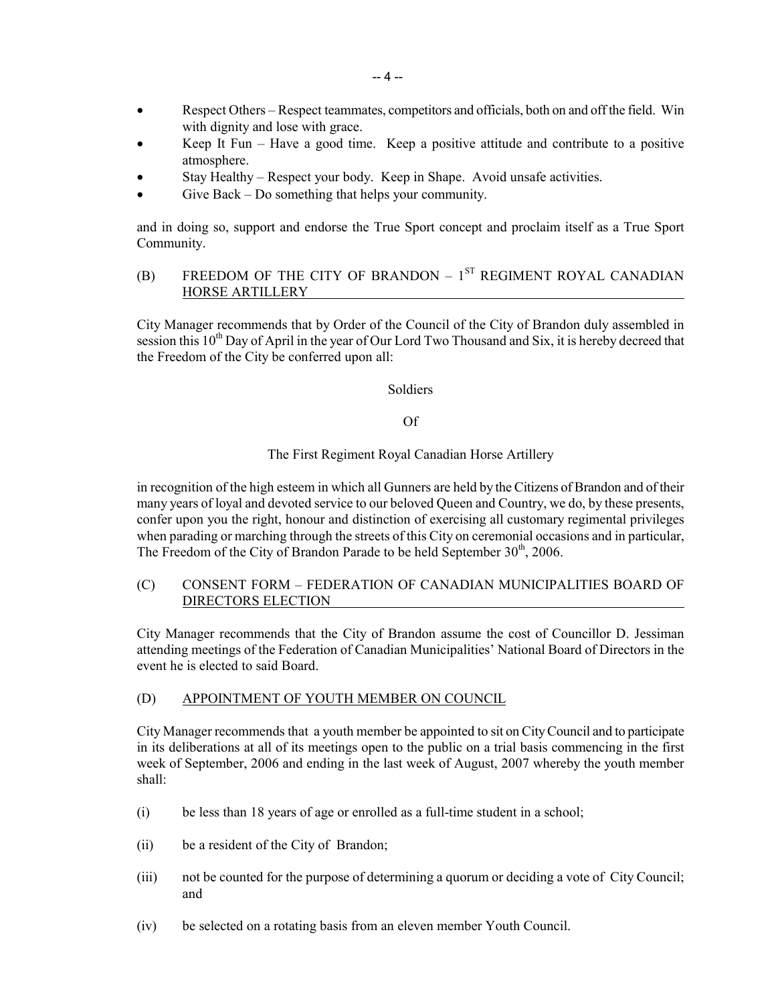- Respect Others Respect teammates, competitors and officials, both on and off the field. Win with dignity and lose with grace.
- Keep It Fun Have a good time. Keep a positive attitude and contribute to a positive atmosphere.
- Stay Healthy Respect your body. Keep in Shape. Avoid unsafe activities.
- Give Back Do something that helps your community.

and in doing so, support and endorse the True Sport concept and proclaim itself as a True Sport Community.

# (B) FREEDOM OF THE CITY OF BRANDON –  $1<sup>ST</sup>$  REGIMENT ROYAL CANADIAN HORSE ARTILLERY

City Manager recommends that by Order of the Council of the City of Brandon duly assembled in session this 10<sup>th</sup> Day of April in the year of Our Lord Two Thousand and Six, it is hereby decreed that the Freedom of the City be conferred upon all:

Soldiers

#### Of

#### The First Regiment Royal Canadian Horse Artillery

in recognition of the high esteem in which all Gunners are held by the Citizens of Brandon and of their many years of loyal and devoted service to our beloved Queen and Country, we do, by these presents, confer upon you the right, honour and distinction of exercising all customary regimental privileges when parading or marching through the streets of this City on ceremonial occasions and in particular, The Freedom of the City of Brandon Parade to be held September 30<sup>th</sup>, 2006.

#### (C) CONSENT FORM – FEDERATION OF CANADIAN MUNICIPALITIES BOARD OF DIRECTORS ELECTION

City Manager recommends that the City of Brandon assume the cost of Councillor D. Jessiman attending meetings of the Federation of Canadian Municipalities' National Board of Directors in the event he is elected to said Board.

#### (D) APPOINTMENT OF YOUTH MEMBER ON COUNCIL

City Manager recommends that a youth member be appointed to sit on City Council and to participate in its deliberations at all of its meetings open to the public on a trial basis commencing in the first week of September, 2006 and ending in the last week of August, 2007 whereby the youth member shall:

- (i) be less than 18 years of age or enrolled as a full-time student in a school;
- (ii) be a resident of the City of Brandon;
- (iii) not be counted for the purpose of determining a quorum or deciding a vote of City Council; and
- (iv) be selected on a rotating basis from an eleven member Youth Council.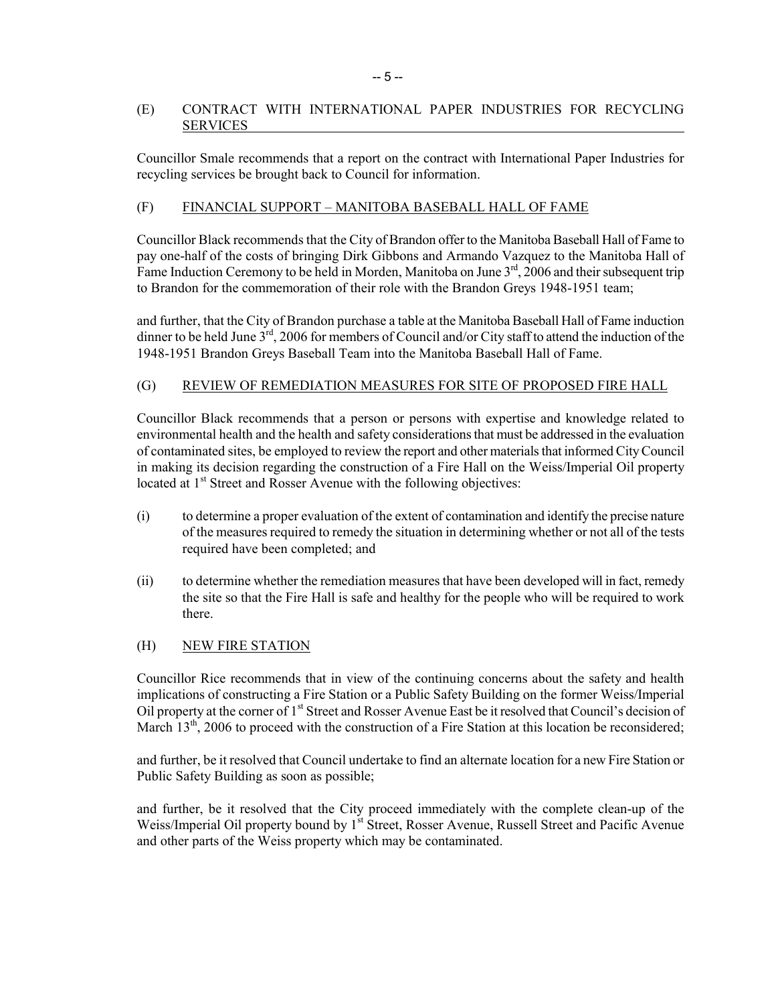#### (E) CONTRACT WITH INTERNATIONAL PAPER INDUSTRIES FOR RECYCLING SERVICES

Councillor Smale recommends that a report on the contract with International Paper Industries for recycling services be brought back to Council for information.

#### (F) FINANCIAL SUPPORT – MANITOBA BASEBALL HALL OF FAME

Councillor Black recommends that the City of Brandon offer to the Manitoba Baseball Hall of Fame to pay one-half of the costs of bringing Dirk Gibbons and Armando Vazquez to the Manitoba Hall of Fame Induction Ceremony to be held in Morden, Manitoba on June 3<sup>rd</sup>, 2006 and their subsequent trip to Brandon for the commemoration of their role with the Brandon Greys 1948-1951 team;

and further, that the City of Brandon purchase a table at the Manitoba Baseball Hall of Fame induction dinner to be held June  $3<sup>rd</sup>$ , 2006 for members of Council and/or City staff to attend the induction of the 1948-1951 Brandon Greys Baseball Team into the Manitoba Baseball Hall of Fame.

#### (G) REVIEW OF REMEDIATION MEASURES FOR SITE OF PROPOSED FIRE HALL

Councillor Black recommends that a person or persons with expertise and knowledge related to environmental health and the health and safety considerations that must be addressed in the evaluation of contaminated sites, be employed to review the report and other materials that informed City Council in making its decision regarding the construction of a Fire Hall on the Weiss/Imperial Oil property located at 1<sup>st</sup> Street and Rosser Avenue with the following objectives:

- (i) to determine a proper evaluation of the extent of contamination and identify the precise nature of the measures required to remedy the situation in determining whether or not all of the tests required have been completed; and
- (ii) to determine whether the remediation measures that have been developed will in fact, remedy the site so that the Fire Hall is safe and healthy for the people who will be required to work there.

#### (H) NEW FIRE STATION

Councillor Rice recommends that in view of the continuing concerns about the safety and health implications of constructing a Fire Station or a Public Safety Building on the former Weiss/Imperial Oil property at the corner of 1<sup>st</sup> Street and Rosser Avenue East be it resolved that Council's decision of March 13<sup>th</sup>, 2006 to proceed with the construction of a Fire Station at this location be reconsidered;

and further, be it resolved that Council undertake to find an alternate location for a new Fire Station or Public Safety Building as soon as possible;

and further, be it resolved that the City proceed immediately with the complete clean-up of the Weiss/Imperial Oil property bound by 1<sup>st</sup> Street, Rosser Avenue, Russell Street and Pacific Avenue and other parts of the Weiss property which may be contaminated.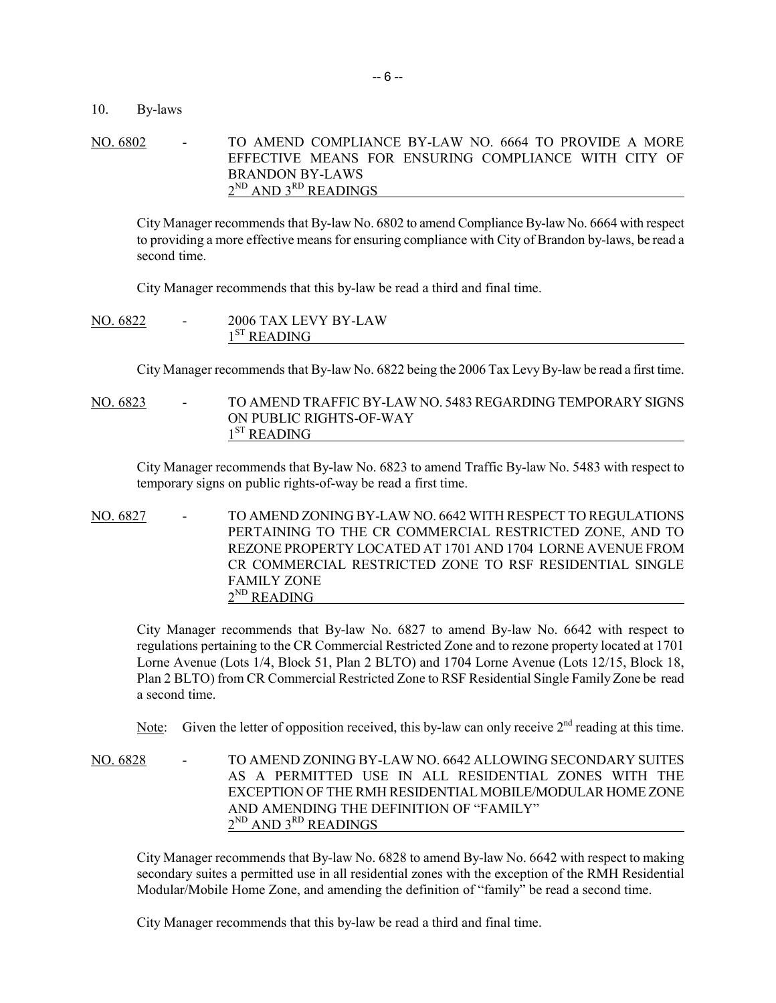#### 10. By-laws

NO. 6802 - TO AMEND COMPLIANCE BY-LAW NO. 6664 TO PROVIDE A MORE EFFECTIVE MEANS FOR ENSURING COMPLIANCE WITH CITY OF BRANDON BY-LAWS  $2^{ND}$  AND  $3^{RD}$  READINGS

City Manager recommends that By-law No. 6802 to amend Compliance By-law No. 6664 with respect to providing a more effective means for ensuring compliance with City of Brandon by-laws, be read a second time.

City Manager recommends that this by-law be read a third and final time.

| NO. 6822 | $\overline{\phantom{0}}$ | 2006 TAX LEVY BY-LAW |
|----------|--------------------------|----------------------|
|          |                          | $1SI$ READING        |

City Manager recommends that By-law No. 6822 being the 2006 Tax Levy By-law be read a first time.

NO. 6823 - TO AMEND TRAFFIC BY-LAW NO. 5483 REGARDING TEMPORARY SIGNS ON PUBLIC RIGHTS-OF-WAY  $1<sup>ST</sup>$  READING

City Manager recommends that By-law No. 6823 to amend Traffic By-law No. 5483 with respect to temporary signs on public rights-of-way be read a first time.

NO. 6827 - TO AMEND ZONING BY-LAW NO. 6642 WITH RESPECT TO REGULATIONS PERTAINING TO THE CR COMMERCIAL RESTRICTED ZONE, AND TO REZONE PROPERTY LOCATED AT 1701 AND 1704 LORNE AVENUE FROM CR COMMERCIAL RESTRICTED ZONE TO RSF RESIDENTIAL SINGLE FAMILY ZONE  $2^{ND}$  READING

 City Manager recommends that By-law No. 6827 to amend By-law No. 6642 with respect to regulations pertaining to the CR Commercial Restricted Zone and to rezone property located at 1701 Lorne Avenue (Lots 1/4, Block 51, Plan 2 BLTO) and 1704 Lorne Avenue (Lots 12/15, Block 18, Plan 2 BLTO) from CR Commercial Restricted Zone to RSF Residential Single Family Zone be read a second time.

Note: Given the letter of opposition received, this by-law can only receive  $2<sup>nd</sup>$  reading at this time.

NO. 6828 - TO AMEND ZONING BY-LAW NO. 6642 ALLOWING SECONDARY SUITES AS A PERMITTED USE IN ALL RESIDENTIAL ZONES WITH THE EXCEPTION OF THE RMH RESIDENTIAL MOBILE/MODULAR HOME ZONE AND AMENDING THE DEFINITION OF "FAMILY"  $2^{ND}$  AND  $3^{RD}$  READINGS

 City Manager recommends that By-law No. 6828 to amend By-law No. 6642 with respect to making secondary suites a permitted use in all residential zones with the exception of the RMH Residential Modular/Mobile Home Zone, and amending the definition of "family" be read a second time.

City Manager recommends that this by-law be read a third and final time.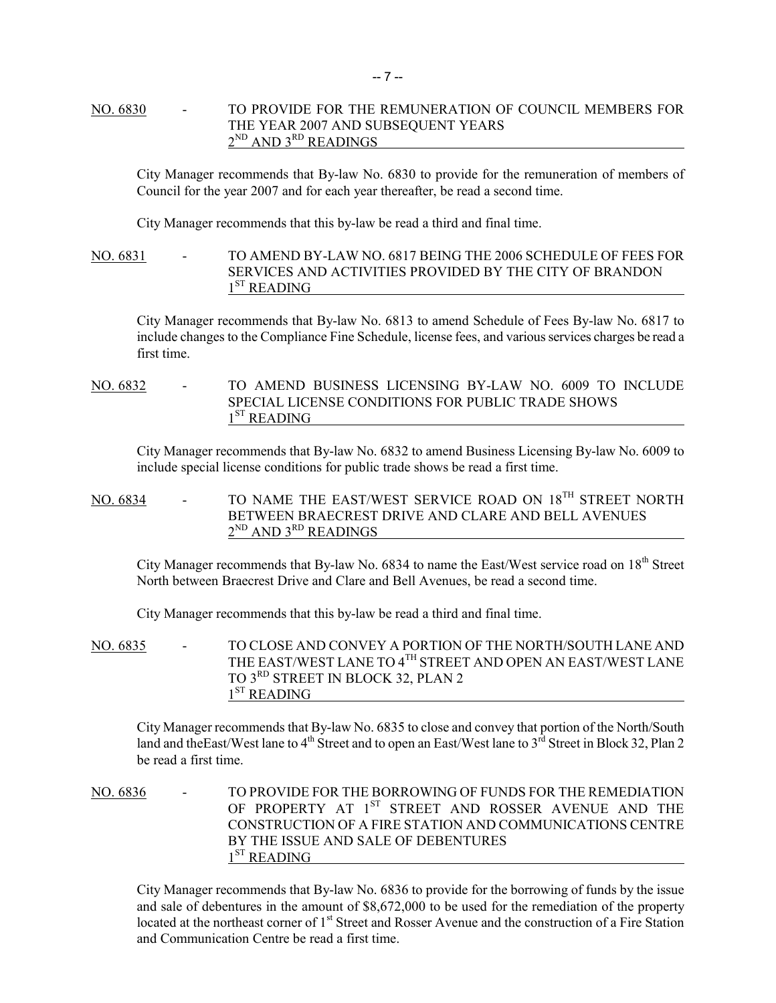#### NO. 6830 - TO PROVIDE FOR THE REMUNERATION OF COUNCIL MEMBERS FOR THE YEAR 2007 AND SUBSEQUENT YEARS 2<sup>ND</sup> AND 3<sup>RD</sup> READINGS

City Manager recommends that By-law No. 6830 to provide for the remuneration of members of Council for the year 2007 and for each year thereafter, be read a second time.

City Manager recommends that this by-law be read a third and final time.

#### NO. 6831 - TO AMEND BY-LAW NO. 6817 BEING THE 2006 SCHEDULE OF FEES FOR SERVICES AND ACTIVITIES PROVIDED BY THE CITY OF BRANDON  $1<sup>ST</sup>$  READING

City Manager recommends that By-law No. 6813 to amend Schedule of Fees By-law No. 6817 to include changes to the Compliance Fine Schedule, license fees, and various services charges be read a first time.

#### NO. 6832 - TO AMEND BUSINESS LICENSING BY-LAW NO. 6009 TO INCLUDE SPECIAL LICENSE CONDITIONS FOR PUBLIC TRADE SHOWS  $1<sup>ST</sup>$  READING

 City Manager recommends that By-law No. 6832 to amend Business Licensing By-law No. 6009 to include special license conditions for public trade shows be read a first time.

## NO. 6834 - TO NAME THE EAST/WEST SERVICE ROAD ON 18<sup>TH</sup> STREET NORTH BETWEEN BRAECREST DRIVE AND CLARE AND BELL AVENUES  $2^{ND}$  AND  $3^{RD}$  READINGS

City Manager recommends that By-law No. 6834 to name the East/West service road on  $18<sup>th</sup>$  Street North between Braecrest Drive and Clare and Bell Avenues, be read a second time.

City Manager recommends that this by-law be read a third and final time.

NO. 6835 - TO CLOSE AND CONVEY A PORTION OF THE NORTH/SOUTH LANE AND THE EAST/WEST LANE TO 4TH STREET AND OPEN AN EAST/WEST LANE TO 3RD STREET IN BLOCK 32, PLAN 2  $1<sup>ST</sup>$  READING

 City Manager recommends that By-law No. 6835 to close and convey that portion of the North/South land and the East/West lane to 4<sup>th</sup> Street and to open an East/West lane to 3<sup>rd</sup> Street in Block 32, Plan 2 be read a first time.

NO. 6836 - TO PROVIDE FOR THE BORROWING OF FUNDS FOR THE REMEDIATION OF PROPERTY AT 1<sup>ST</sup> STREET AND ROSSER AVENUE AND THE CONSTRUCTION OF A FIRE STATION AND COMMUNICATIONS CENTRE BY THE ISSUE AND SALE OF DEBENTURES 1<sup>ST</sup> READING

 City Manager recommends that By-law No. 6836 to provide for the borrowing of funds by the issue and sale of debentures in the amount of \$8,672,000 to be used for the remediation of the property located at the northeast corner of 1<sup>st</sup> Street and Rosser Avenue and the construction of a Fire Station and Communication Centre be read a first time.